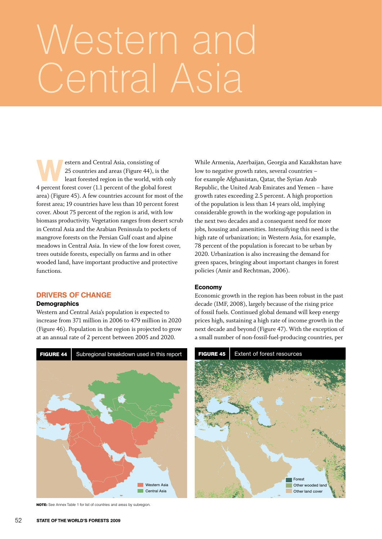# Western and Central Asia

Extern and Central Asia, consisting of<br>25 countries and areas (Figure 44), is<br>least forested region in the world, with 25 countries and areas (Figure 44), is the least forested region in the world, with only 4 percent forest cover (1.1 percent of the global forest area) (Figure 45). A few countries account for most of the forest area; 19 countries have less than 10 percent forest cover. About 75 percent of the region is arid, with low biomass productivity. Vegetation ranges from desert scrub in Central Asia and the Arabian Peninsula to pockets of mangrove forests on the Persian Gulf coast and alpine meadows in Central Asia. In view of the low forest cover, trees outside forests, especially on farms and in other wooded land, have important productive and protective functions.

# Drivers of change

## **Demographics**

Western and Central Asia's population is expected to increase from 371 million in 2006 to 479 million in 2020 (Figure 46). Population in the region is projected to grow at an annual rate of 2 percent between 2005 and 2020.

**FIGURE 44** Subregional breakdown used in this report **Western Asia** Central Asia

**NOTE:** See Annex Table 1 for list of countries and areas by subregion

While Armenia, Azerbaijan, Georgia and Kazakhstan have low to negative growth rates, several countries – for example Afghanistan, Qatar, the Syrian Arab Republic, the United Arab Emirates and Yemen – have growth rates exceeding 2.5 percent. A high proportion of the population is less than 14 years old, implying considerable growth in the working-age population in the next two decades and a consequent need for more jobs, housing and amenities. Intensifying this need is the high rate of urbanization; in Western Asia, for example, 78 percent of the population is forecast to be urban by 2020. Urbanization is also increasing the demand for green spaces, bringing about important changes in forest policies (Amir and Rechtman, 2006).

## Economy

Economic growth in the region has been robust in the past decade (IMF, 2008), largely because of the rising price of fossil fuels. Continued global demand will keep energy prices high, sustaining a high rate of income growth in the next decade and beyond (Figure 47). With the exception of a small number of non-fossil-fuel-producing countries, per

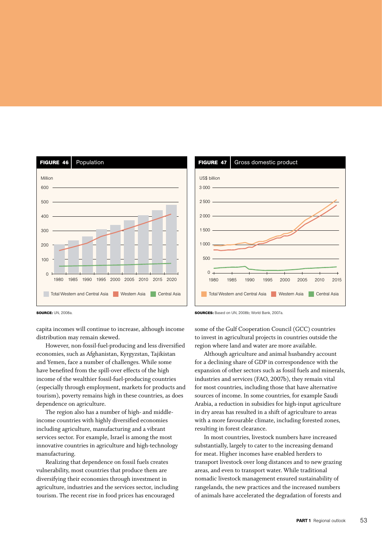

**Source:** UN, 2008a.

capita incomes will continue to increase, although income distribution may remain skewed.

However, non-fossil-fuel-producing and less diversified economies, such as Afghanistan, Kyrgyzstan, Tajikistan and Yemen, face a number of challenges. While some have benefited from the spill-over effects of the high income of the wealthier fossil-fuel-producing countries (especially through employment, markets for products and tourism), poverty remains high in these countries, as does dependence on agriculture.

The region also has a number of high- and middleincome countries with highly diversified economies including agriculture, manufacturing and a vibrant services sector. For example, Israel is among the most innovative countries in agriculture and high-technology manufacturing.

Realizing that dependence on fossil fuels creates vulnerability, most countries that produce them are diversifying their economies through investment in agriculture, industries and the services sector, including tourism. The recent rise in food prices has encouraged



**Sources:** Based on UN, 2008b; World Bank, 2007a.

some of the Gulf Cooperation Council (GCC) countries to invest in agricultural projects in countries outside the region where land and water are more available.

Although agriculture and animal husbandry account for a declining share of GDP in correspondence with the expansion of other sectors such as fossil fuels and minerals, industries and services (FAO, 2007b), they remain vital for most countries, including those that have alternative sources of income. In some countries, for example Saudi Arabia, a reduction in subsidies for high-input agriculture in dry areas has resulted in a shift of agriculture to areas with a more favourable climate, including forested zones, resulting in forest clearance.

In most countries, livestock numbers have increased substantially, largely to cater to the increasing demand for meat. Higher incomes have enabled herders to transport livestock over long distances and to new grazing areas, and even to transport water. While traditional nomadic livestock management ensured sustainability of rangelands, the new practices and the increased numbers of animals have accelerated the degradation of forests and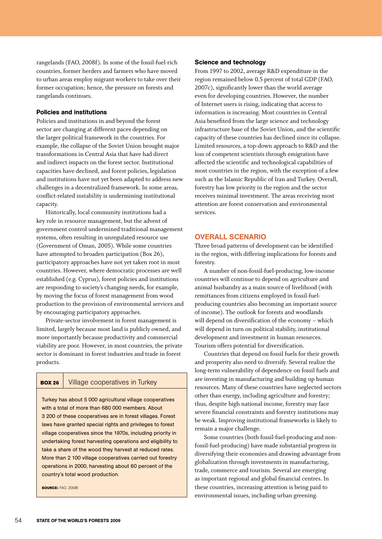rangelands (FAO, 2008f). In some of the fossil-fuel-rich countries, former herders and farmers who have moved to urban areas employ migrant workers to take over their former occupation; hence, the pressure on forests and rangelands continues.

#### Policies and institutions

Policies and institutions in and beyond the forest sector are changing at different paces depending on the larger political framework in the countries. For example, the collapse of the Soviet Union brought major transformations in Central Asia that have had direct and indirect impacts on the forest sector. Institutional capacities have declined, and forest policies, legislation and institutions have not yet been adapted to address new challenges in a decentralized framework. In some areas, conflict-related instability is undermining institutional capacity.

Historically, local community institutions had a key role in resource management, but the advent of government control undermined traditional management systems, often resulting in unregulated resource use (Government of Oman, 2005). While some countries have attempted to broaden participation (Box 26), participatory approaches have not yet taken root in most countries. However, where democratic processes are well established (e.g. Cyprus), forest policies and institutions are responding to society's changing needs, for example, by moving the focus of forest management from wood production to the provision of environmental services and by encouraging participatory approaches.

Private-sector involvement in forest management is limited, largely because most land is publicly owned, and more importantly because productivity and commercial viability are poor. However, in most countries, the private sector is dominant in forest industries and trade in forest products.

## **BOX 26** Village cooperatives in Turkey

Turkey has about 5 000 agricultural village cooperatives with a total of more than 680 000 members. About 3 200 of these cooperatives are in forest villages. Forest laws have granted special rights and privileges to forest village cooperatives since the 1970s, including priority in undertaking forest harvesting operations and eligibility to take a share of the wood they harvest at reduced rates. More than 2 100 village cooperatives carried out forestry operations in 2000, harvesting about 60 percent of the country's total wood production.

**source:** FAO, 2008f.

## Science and technology

From 1997 to 2002, average R&D expenditure in the region remained below 0.5 percent of total GDP (FAO, 2007c), significantly lower than the world average even for developing countries. However, the number of Internet users is rising, indicating that access to information is increasing. Most countries in Central Asia benefited from the large science and technology infrastructure base of the Soviet Union, and the scientific capacity of these countries has declined since its collapse. Limited resources, a top-down approach to R&D and the loss of competent scientists through emigration have affected the scientific and technological capabilities of most countries in the region, with the exception of a few such as the Islamic Republic of Iran and Turkey. Overall, forestry has low priority in the region and the sector receives minimal investment. The areas receiving most attention are forest conservation and environmental services.

## Overall scenario

Three broad patterns of development can be identified in the region, with differing implications for forests and forestry.

A number of non-fossil-fuel-producing, low-income countries will continue to depend on agriculture and animal husbandry as a main source of livelihood (with remittances from citizens employed in fossil-fuelproducing countries also becoming an important source of income). The outlook for forests and woodlands will depend on diversification of the economy – which will depend in turn on political stability, institutional development and investment in human resources. Tourism offers potential for diversification.

Countries that depend on fossil fuels for their growth and prosperity also need to diversify. Several realize the long-term vulnerability of dependence on fossil fuels and are investing in manufacturing and building up human resources. Many of these countries have neglected sectors other than energy, including agriculture and forestry; thus, despite high national income, forestry may face severe financial constraints and forestry institutions may be weak. Improving institutional frameworks is likely to remain a major challenge.

Some countries (both fossil-fuel-producing and nonfossil-fuel-producing) have made substantial progress in diversifying their economies and drawing advantage from globalization through investments in manufacturing, trade, commerce and tourism. Several are emerging as important regional and global financial centres. In these countries, increasing attention is being paid to environmental issues, including urban greening.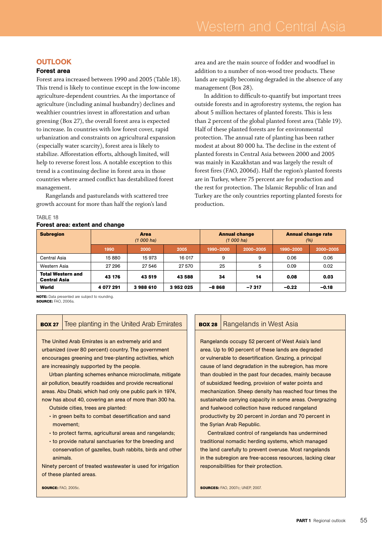# **OUTLOOK**

## Forest area

Forest area increased between 1990 and 2005 (Table 18). This trend is likely to continue except in the low-income agriculture-dependent countries. As the importance of agriculture (including animal husbandry) declines and wealthier countries invest in afforestation and urban greening (Box 27), the overall forest area is expected to increase. In countries with low forest cover, rapid urbanization and constraints on agricultural expansion (especially water scarcity), forest area is likely to stabilize. Afforestation efforts, although limited, will help to reverse forest loss. A notable exception to this trend is a continuing decline in forest area in those countries where armed conflict has destabilized forest management.

Rangelands and pasturelands with scattered tree growth account for more than half the region's land

#### TABLE 18

# Forest area: extent and change

area and are the main source of fodder and woodfuel in addition to a number of non-wood tree products. These lands are rapidly becoming degraded in the absence of any management (Box 28).

In addition to difficult-to-quantify but important trees outside forests and in agroforestry systems, the region has about 5 million hectares of planted forests. This is less than 2 percent of the global planted forest area (Table 19). Half of these planted forests are for environmental protection. The annual rate of planting has been rather modest at about 80 000 ha. The decline in the extent of planted forests in Central Asia between 2000 and 2005 was mainly in Kazakhstan and was largely the result of forest fires (FAO, 2006d). Half the region's planted forests are in Turkey, where 75 percent are for production and the rest for protection. The Islamic Republic of Iran and Turkey are the only countries reporting planted forests for production.

| <b>Subregion</b>                                | <b>Area</b><br>$(1000)$ ha) |         |         | <b>Annual change</b><br>$(1000)$ ha) |           | <b>Annual change rate</b><br>(%) |           |
|-------------------------------------------------|-----------------------------|---------|---------|--------------------------------------|-----------|----------------------------------|-----------|
|                                                 | 1990                        | 2000    | 2005    | 1990-2000                            | 2000-2005 | 1990-2000                        | 2000-2005 |
| Central Asia                                    | 15880                       | 15973   | 16 017  | 9                                    | 9         | 0.06                             | 0.06      |
| Western Asia                                    | 27 29 6                     | 27 546  | 27 570  | 25                                   | 5         | 0.09                             | 0.02      |
| <b>Total Western and</b><br><b>Central Asia</b> | 43 176                      | 43 519  | 43 588  | 34                                   | 14        | 0.08                             | 0.03      |
| World                                           | 4 077 291                   | 3988610 | 3952025 | -8 868                               | $-7317$   | $-0.22$                          | $-0.18$   |

**NOTE:** Data presented are subject to rounding **source:** FAO, 2006a.

# **BOX 27** Tree planting in the United Arab Emirates

The United Arab Emirates is an extremely arid and urbanized (over 80 percent) country. The government encourages greening and tree-planting activities, which are increasingly supported by the people.

Urban planting schemes enhance microclimate, mitigate air pollution, beautify roadsides and provide recreational areas. Abu Dhabi, which had only one public park in 1974, now has about 40, covering an area of more than 300 ha.

- Outside cities, trees are planted:
- in green belts to combat desertification and sand movement;
- $\cdot$  to protect farms, agricultural areas and rangelands;
- $\cdot$  to provide natural sanctuaries for the breeding and conservation of gazelles, bush rabbits, birds and other animals.

Ninety percent of treated wastewater is used for irrigation of these planted areas.

**source:** FAO, 2005c.

# **BOX 28** Rangelands in West Asia

Rangelands occupy 52 percent of West Asia's land area. Up to 90 percent of these lands are degraded or vulnerable to desertification. Grazing, a principal cause of land degradation in the subregion, has more than doubled in the past four decades, mainly because of subsidized feeding, provision of water points and mechanization. Sheep density has reached four times the sustainable carrying capacity in some areas. Overgrazing and fuelwood collection have reduced rangeland productivity by 20 percent in Jordan and 70 percent in the Syrian Arab Republic.

Centralized control of rangelands has undermined traditional nomadic herding systems, which managed the land carefully to prevent overuse. Most rangelands in the subregion are free-access resources, lacking clear responsibilities for their protection.

**SOURCES: FAO, 2007c; UNEP, 2007.**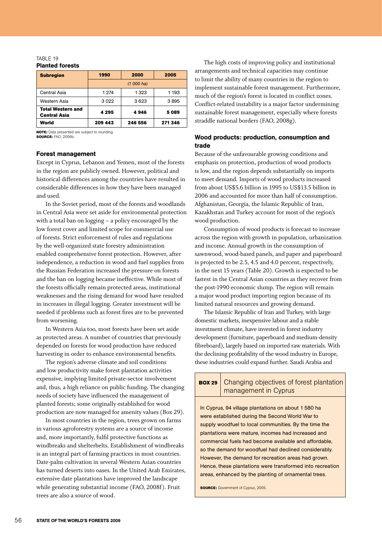#### TARI F 19 Planted forests

| <b>Subregion</b>                                | 1990         | 2000    | 2005    |  |  |
|-------------------------------------------------|--------------|---------|---------|--|--|
|                                                 | $(1000)$ ha) |         |         |  |  |
| Central Asia                                    | 1 274        | 1323    | 1 193   |  |  |
| Western Asia                                    | 3022         | 3623    | 3895    |  |  |
| <b>Total Western and</b><br><b>Central Asia</b> | 4 2 9 5      | 4946    | 5089    |  |  |
| World                                           | 209 443      | 246 556 | 271 346 |  |  |

**NOTE:** Data presented are subject to rounding **source:** FAO, 2006b.

## Forest management

Except in Cyprus, Lebanon and Yemen, most of the forests in the region are publicly owned. However, political and historical differences among the countries have resulted in considerable differences in how they have been managed and used.

In the Soviet period, most of the forests and woodlands in Central Asia were set aside for environmental protection with a total ban on logging – a policy encouraged by the low forest cover and limited scope for commercial use of forests. Strict enforcement of rules and regulations by the well-organized state forestry administration enabled comprehensive forest protection. However, after independence, a reduction in wood and fuel supplies from the Russian Federation increased the pressure on forests and the ban on logging became ineffective. While most of the forests officially remain protected areas, institutional weaknesses and the rising demand for wood have resulted in increases in illegal logging. Greater investment will be needed if problems such as forest fires are to be prevented from worsening.

In Western Asia too, most forests have been set aside as protected areas. A number of countries that previously depended on forests for wood production have reduced harvesting in order to enhance environmental benefits.

The region's adverse climate and soil conditions and low productivity make forest plantation activities expensive, implying limited private-sector involvement and, thus, a high reliance on public funding. The changing needs of society have influenced the management of planted forests; some originally established for wood production are now managed for amenity values (Box 29).

In most countries in the region, trees grown on farms in various agroforestry systems are a source of income and, more importantly, fulfil protective functions as windbreaks and shelterbelts. Establishment of windbreaks is an integral part of farming practices in most countries. Date-palm cultivation in several Western Asian countries has turned deserts into oases. In the United Arab Emirates, extensive date plantations have improved the landscape while generating substantial income (FAO, 2008f). Fruit trees are also a source of wood.

The high costs of improving policy and institutional arrangements and technical capacities may continue to limit the ability of many countries in the region to implement sustainable forest management. Furthermore, much of the region's forest is located in conflict zones. Conflict-related instability is a major factor undermining sustainable forest management, especially where forests straddle national borders (FAO, 2008g).

## Wood products: production, consumption and trade

Because of the unfavourable growing conditions and emphasis on protection, production of wood products is low, and the region depends substantially on imports to meet demand. Imports of wood products increased from about US\$5.6 billion in 1995 to US\$13.5 billion in 2006 and accounted for more than half of consumption. Afghanistan, Georgia, the Islamic Republic of Iran, Kazakhstan and Turkey account for most of the region's wood production.

Consumption of wood products is forecast to increase across the region with growth in population, urbanization and income. Annual growth in the consumption of sawnwood, wood-based panels, and paper and paperboard is projected to be 2.5, 4.5 and 4.0 percent, respectively, in the next 15 years (Table 20). Growth is expected to be fastest in the Central Asian countries as they recover from the post-1990 economic slump. The region will remain a major wood product importing region because of its limited natural resources and growing demand.

The Islamic Republic of Iran and Turkey, with large domestic markets, inexpensive labour and a stable investment climate, have invested in forest industry development (furniture, paperboard and medium-density fibreboard), largely based on imported raw materials. With the declining profitability of the wood industry in Europe, these industries could expand further. Saudi Arabia and

# **BOX 29** Changing objectives of forest plantation management in Cyprus

In Cyprus, 94 village plantations on about 1 580 ha were established during the Second World War to supply woodfuel to local communities. By the time the plantations were mature, incomes had increased and commercial fuels had become available and affordable, so the demand for woodfuel had declined considerably. However, the demand for recreation areas had grown. Hence, these plantations were transformed into recreation areas, enhanced by the planting of ornamental trees.

**source:** Government of Cyprus, 2005.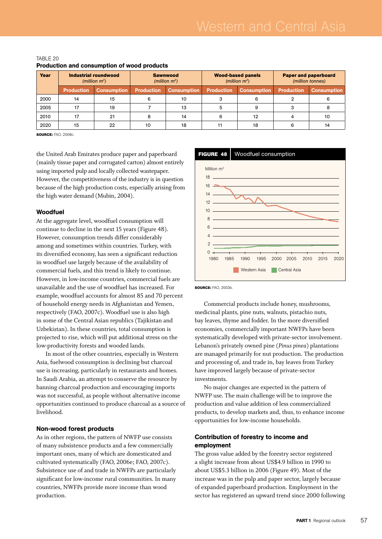| י ייסטטער פון איסטייט אוייוואטוויטט אוויט וויסטט |                                          |                    |                                     |                    |                                              |                    |                                                 |                    |  |
|--------------------------------------------------|------------------------------------------|--------------------|-------------------------------------|--------------------|----------------------------------------------|--------------------|-------------------------------------------------|--------------------|--|
| Year                                             | Industrial roundwood<br>(million $m^3$ ) |                    | <b>Sawnwood</b><br>(million $m^3$ ) |                    | <b>Wood-based panels</b><br>(million $m^3$ ) |                    | <b>Paper and paperboard</b><br>(million tonnes) |                    |  |
|                                                  | <b>Production</b>                        | <b>Consumption</b> | <b>Production</b>                   | <b>Consumption</b> | <b>Production</b>                            | <b>Consumption</b> | <b>Production</b>                               | <b>Consumption</b> |  |
| 2000                                             | 14                                       | 15                 |                                     | 10                 |                                              |                    |                                                 |                    |  |
| 2005                                             |                                          | 19                 |                                     | 13                 |                                              |                    |                                                 |                    |  |
| 2010                                             |                                          | 21                 |                                     | 14                 | 6                                            | 12                 |                                                 | 10                 |  |
| 2020                                             | 15                                       | 22                 | 10                                  | 18                 |                                              | 18                 |                                                 | 14                 |  |

## TARL F 20 Production and consumption of wood products

**source:** FAO, 2008c.

the United Arab Emirates produce paper and paperboard (mainly tissue paper and corrugated carton) almost entirely using imported pulp and locally collected wastepaper. However, the competitiveness of the industry is in question because of the high production costs, especially arising from the high water demand (Mubin, 2004).

## Woodfuel

At the aggregate level, woodfuel consumption will continue to decline in the next 15 years (Figure 48). However, consumption trends differ considerably among and sometimes within countries. Turkey, with its diversified economy, has seen a significant reduction in woodfuel use largely because of the availability of commercial fuels, and this trend is likely to continue. However, in low-income countries, commercial fuels are unavailable and the use of woodfuel has increased. For example, woodfuel accounts for almost 85 and 70 percent of household energy needs in Afghanistan and Yemen, respectively (FAO, 2007c). Woodfuel use is also high in some of the Central Asian republics (Tajikistan and Uzbekistan). In these countries, total consumption is projected to rise, which will put additional stress on the low-productivity forests and wooded lands.

In most of the other countries, especially in Western Asia, fuelwood consumption is declining but charcoal use is increasing, particularly in restaurants and homes. In Saudi Arabia, an attempt to conserve the resource by banning charcoal production and encouraging imports was not successful, as people without alternative income opportunities continued to produce charcoal as a source of livelihood.

## Non-wood forest products

As in other regions, the pattern of NWFP use consists of many subsistence products and a few commercially important ones, many of which are domesticated and cultivated systematically (FAO, 2006e; FAO, 2007c). Subsistence use of and trade in NWFPs are particularly significant for low-income rural communities. In many countries, NWFPs provide more income than wood production.



**Source:** FAO, 2003b.

Commercial products include honey, mushrooms, medicinal plants, pine nuts, walnuts, pistachio nuts, bay leaves, thyme and fodder. In the more diversified economies, commercially important NWFPs have been systematically developed with private-sector involvement. Lebanon's privately owned pine (*Pinus pinea*) plantations are managed primarily for nut production. The production and processing of, and trade in, bay leaves from Turkey have improved largely because of private-sector investments.

No major changes are expected in the pattern of NWFP use. The main challenge will be to improve the production and value addition of less commercialized products, to develop markets and, thus, to enhance income opportunities for low-income households.

# Contribution of forestry to income and employment

The gross value added by the forestry sector registered a slight increase from about US\$4.9 billion in 1990 to about US\$5.3 billion in 2006 (Figure 49). Most of the increase was in the pulp and paper sector, largely because of expanded paperboard production. Employment in the sector has registered an upward trend since 2000 following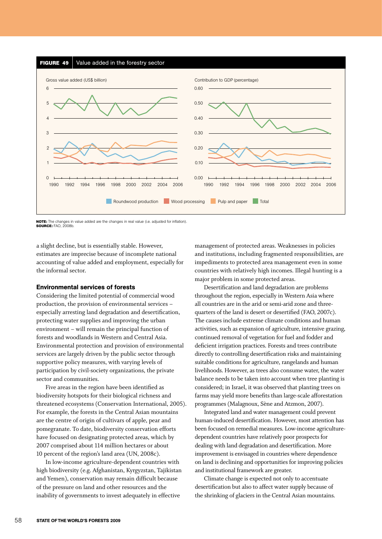

**Note:** The changes in value added are the changes in real value (i.e. adjusted for inflation). **Source:** FAO, 2008b.

a slight decline, but is essentially stable. However, estimates are imprecise because of incomplete national accounting of value added and employment, especially for the informal sector.

## Environmental services of forests

Considering the limited potential of commercial wood production, the provision of environmental services – especially arresting land degradation and desertification, protecting water supplies and improving the urban environment – will remain the principal function of forests and woodlands in Western and Central Asia. Environmental protection and provision of environmental services are largely driven by the public sector through supportive policy measures, with varying levels of participation by civil-society organizations, the private sector and communities.

Five areas in the region have been identified as biodiversity hotspots for their biological richness and threatened ecosystems (Conservation International, 2005). For example, the forests in the Central Asian mountains are the centre of origin of cultivars of apple, pear and pomegranate. To date, biodiversity conservation efforts have focused on designating protected areas, which by 2007 comprised about 114 million hectares or about 10 percent of the region's land area (UN, 2008c).

In low-income agriculture-dependent countries with high biodiversity (e.g. Afghanistan, Kyrgyzstan, Tajikistan and Yemen), conservation may remain difficult because of the pressure on land and other resources and the inability of governments to invest adequately in effective

management of protected areas. Weaknesses in policies and institutions, including fragmented responsibilities, are impediments to protected area management even in some countries with relatively high incomes. Illegal hunting is a major problem in some protected areas.

Desertification and land degradation are problems throughout the region, especially in Western Asia where all countries are in the arid or semi-arid zone and threequarters of the land is desert or desertified (FAO, 2007c). The causes include extreme climate conditions and human activities, such as expansion of agriculture, intensive grazing, continued removal of vegetation for fuel and fodder and deficient irrigation practices. Forests and trees contribute directly to controlling desertification risks and maintaining suitable conditions for agriculture, rangelands and human livelihoods. However, as trees also consume water, the water balance needs to be taken into account when tree planting is considered; in Israel, it was observed that planting trees on farms may yield more benefits than large-scale afforestation programmes (Malagnoux, Sène and Atzmon, 2007).

Integrated land and water management could prevent human-induced desertification. However, most attention has been focused on remedial measures. Low-income agriculturedependent countries have relatively poor prospects for dealing with land degradation and desertification. More improvement is envisaged in countries where dependence on land is declining and opportunities for improving policies and institutional framework are greater.

Climate change is expected not only to accentuate desertification but also to affect water supply because of the shrinking of glaciers in the Central Asian mountains.